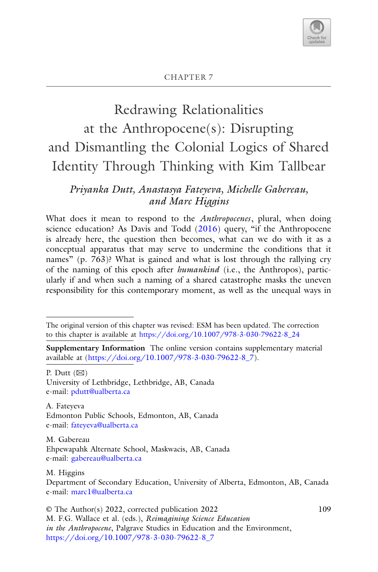

109

# Redrawing Relationalities at the Anthropocene(s): Disrupting and Dismantling the Colonial Logics of Shared Identity Through Thinking with Kim Tallbear

# *Priyanka Dutt, Anastasya Fateyeva, Michelle Gabereau, and Marc Higgins*

What does it mean to respond to the *Anthropocenes*, plural, when doing science education? As Davis and Todd [\(2016\)](#page-9-0) query, "if the Anthropocene is already here, the question then becomes, what can we do with it as a conceptual apparatus that may serve to undermine the conditions that it names" (p. 763)? What is gained and what is lost through the rallying cry of the naming of this epoch after *humankind* (i.e., the Anthropos), particularly if and when such a naming of a shared catastrophe masks the uneven responsibility for this contemporary moment, as well as the unequal ways in

P. Dutt  $(\boxtimes)$ University of Lethbridge, Lethbridge, AB, Canada e-mail: [pdutt@ualberta.ca](mailto:pdutt@ualberta.ca)

A. Fateyeva Edmonton Public Schools, Edmonton, AB, Canada e-mail: [fateyeva@ualberta.ca](mailto:fateyeva@ualberta.ca)

© The Author(s) 2022, corrected publication 2022 M. F.G. Wallace et al. (eds.), *Reimagining Science Education in the Anthropocene*, Palgrave Studies in Education and the Environment, [https://doi.org/10.1007/978-3-030-79622-8\\_7](https://doi.org/10.1007/978-3-030-79622-8_7)

The original version of this chapter was revised: ESM has been updated. The correction to this chapter is available at [https://doi.org/10.1007/978-3-030-79622-8\\_24](https://doi.org/10.1007/978-3-030-79622-8_24)

**Supplementary Information** The online version contains supplementary material available at [\(https://doi.org/10.1007/978-3-030-79622-8\\_7\)](https://doi.org/10.1007/978-3-030-79622-8_7).

M. Gabereau Ehpewapahk Alternate School, Maskwacis, AB, Canada e-mail: [gabereau@ualberta.ca](mailto:gabereau@ualberta.ca)

M. Higgins Department of Secondary Education, University of Alberta, Edmonton, AB, Canada e-mail: [marc1@ualberta.ca](mailto:marc1@ualberta.ca)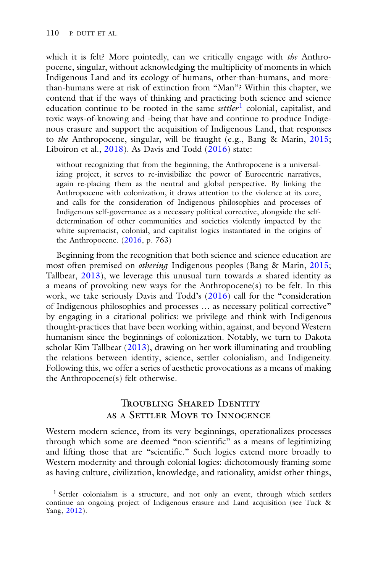which it is felt? More pointedly, can we critically engage with *the* Anthropocene, singular, without acknowledging the multiplicity of moments in which Indigenous Land and its ecology of humans, other-than-humans, and morethan-humans were at risk of extinction from "Man"? Within this chapter, we contend that if the ways of thinking and practicing both science and science education continue to be rooted in the same *settler*<sup>[1](#page-1-0)</sup> colonial, capitalist, and toxic ways-of-knowing and -being that have and continue to produce Indigenous erasure and support the acquisition of Indigenous Land, that responses to *the* Anthropocene, singular, will be fraught (e.g., Bang & Marin, [2015;](#page-9-1) Liboiron et al., [2018\)](#page-9-2). As Davis and Todd [\(2016\)](#page-9-0) state:

without recognizing that from the beginning, the Anthropocene is a universalizing project, it serves to re-invisibilize the power of Eurocentric narratives, again re-placing them as the neutral and global perspective. By linking the Anthropocene with colonization, it draws attention to the violence at its core, and calls for the consideration of Indigenous philosophies and processes of Indigenous self-governance as a necessary political corrective, alongside the selfdetermination of other communities and societies violently impacted by the white supremacist, colonial, and capitalist logics instantiated in the origins of the Anthropocene.  $(2016, p. 763)$  $(2016, p. 763)$ 

Beginning from the recognition that both science and science education are most often premised on *othering* Indigenous peoples (Bang & Marin, [2015;](#page-9-1) Tallbear, [2013\)](#page-9-3), we leverage this unusual turn towards *a* shared identity as a means of provoking new ways for the Anthropocene(s) to be felt. In this work, we take seriously Davis and Todd's [\(2016\)](#page-9-0) call for the "consideration of Indigenous philosophies and processes … as necessary political corrective" by engaging in a citational politics: we privilege and think with Indigenous thought-practices that have been working within, against, and beyond Western humanism since the beginnings of colonization. Notably, we turn to Dakota scholar Kim Tallbear [\(2013\)](#page-9-3), drawing on her work illuminating and troubling the relations between identity, science, settler colonialism, and Indigeneity. Following this, we offer a series of aesthetic provocations as a means of making the Anthropocene(s) felt otherwise.

## TROUBLING SHARED IDENTITY as a Settler Move to Innocence

Western modern science, from its very beginnings, operationalizes processes through which some are deemed "non-scientific" as a means of legitimizing and lifting those that are "scientific." Such logics extend more broadly to Western modernity and through colonial logics: dichotomously framing some as having culture, civilization, knowledge, and rationality, amidst other things,

<span id="page-1-0"></span><sup>&</sup>lt;sup>1</sup> Settler colonialism is a structure, and not only an event, through which settlers continue an ongoing project of Indigenous erasure and Land acquisition (see Tuck & Yang, [2012\)](#page-9-4).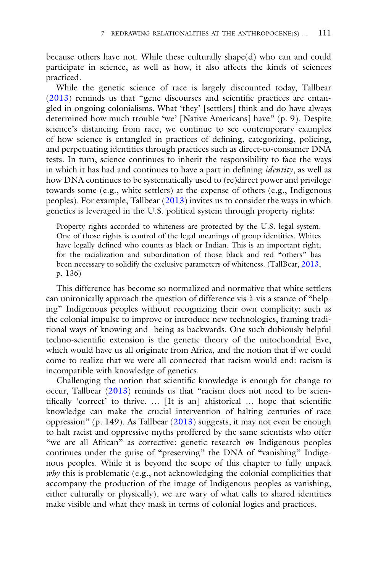because others have not. While these culturally shape(d) who can and could participate in science, as well as how, it also affects the kinds of sciences practiced.

While the genetic science of race is largely discounted today, Tallbear [\(2013\)](#page-9-3) reminds us that "gene discourses and scientific practices are entangled in ongoing colonialisms. What 'they' [settlers] think and do have always determined how much trouble 'we' [Native Americans] have" (p. 9). Despite science's distancing from race, we continue to see contemporary examples of how science is entangled in practices of defining, categorizing, policing, and perpetuating identities through practices such as direct-to-consumer DNA tests. In turn, science continues to inherit the responsibility to face the ways in which it has had and continues to have a part in defining *identity*, as well as how DNA continues to be systematically used to (re)direct power and privilege towards some (e.g., white settlers) at the expense of others (e.g., Indigenous peoples). For example, Tallbear [\(2013\)](#page-9-3) invites us to consider the ways in which genetics is leveraged in the U.S. political system through property rights:

Property rights accorded to whiteness are protected by the U.S. legal system. One of those rights is control of the legal meanings of group identities. Whites have legally defined who counts as black or Indian. This is an important right, for the racialization and subordination of those black and red "others" has been necessary to solidify the exclusive parameters of whiteness. (TallBear, [2013,](#page-9-3) p. 136)

This difference has become so normalized and normative that white settlers can unironically approach the question of difference vis-à-vis a stance of "helping" Indigenous peoples without recognizing their own complicity: such as the colonial impulse to improve or introduce new technologies, framing traditional ways-of-knowing and -being as backwards. One such dubiously helpful techno-scientific extension is the genetic theory of the mitochondrial Eve, which would have us all originate from Africa, and the notion that if we could come to realize that we were all connected that racism would end: racism is incompatible with knowledge of genetics.

Challenging the notion that scientific knowledge is enough for change to occur, Tallbear [\(2013\)](#page-9-3) reminds us that "racism does not need to be scientifically 'correct' to thrive. … [It is an] ahistorical … hope that scientific knowledge can make the crucial intervention of halting centuries of race oppression" (p. 149). As Tallbear [\(2013\)](#page-9-3) suggests, it may not even be enough to halt racist and oppressive myths proffered by the same scientists who offer "we are all African" as corrective: genetic research *on* Indigenous peoples continues under the guise of "preserving" the DNA of "vanishing" Indigenous peoples. While it is beyond the scope of this chapter to fully unpack *why* this is problematic (e.g., not acknowledging the colonial complicities that accompany the production of the image of Indigenous peoples as vanishing, either culturally or physically), we are wary of what calls to shared identities make visible and what they mask in terms of colonial logics and practices.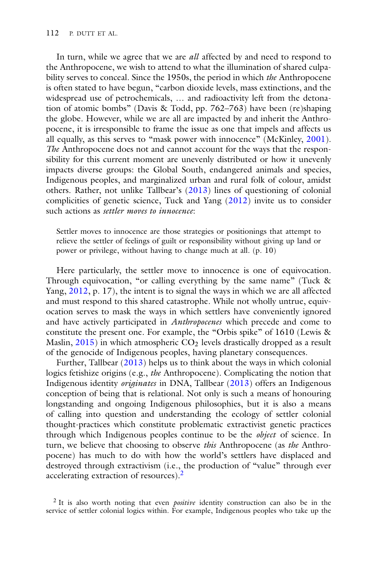In turn, while we agree that we are *all* affected by and need to respond to the Anthropocene, we wish to attend to what the illumination of shared culpability serves to conceal. Since the 1950s, the period in which *the* Anthropocene is often stated to have begun, "carbon dioxide levels, mass extinctions, and the widespread use of petrochemicals, … and radioactivity left from the detonation of atomic bombs" (Davis & Todd, pp. 762–763) have been (re)shaping the globe. However, while we are all are impacted by and inherit the Anthropocene, it is irresponsible to frame the issue as one that impels and affects us all equally, as this serves to "mask power with innocence" (McKinley, [2001\)](#page-9-5). *The* Anthropocene does not and cannot account for the ways that the responsibility for this current moment are unevenly distributed or how it unevenly impacts diverse groups: the Global South, endangered animals and species, Indigenous peoples, and marginalized urban and rural folk of colour, amidst others. Rather, not unlike Tallbear's [\(2013\)](#page-9-3) lines of questioning of colonial complicities of genetic science, Tuck and Yang [\(2012\)](#page-9-4) invite us to consider such actions as *settler moves to innocence*:

Settler moves to innocence are those strategies or positionings that attempt to relieve the settler of feelings of guilt or responsibility without giving up land or power or privilege, without having to change much at all. (p. 10)

Here particularly, the settler move to innocence is one of equivocation. Through equivocation, "or calling everything by the same name" (Tuck & Yang, [2012,](#page-9-4) p. 17), the intent is to signal the ways in which we are all affected and must respond to this shared catastrophe. While not wholly untrue, equivocation serves to mask the ways in which settlers have conveniently ignored and have actively participated in *Anthropocenes* which precede and come to constitute the present one. For example, the "Orbis spike" of 1610 (Lewis & Maslin,  $2015$ ) in which atmospheric  $CO<sub>2</sub>$  levels drastically dropped as a result of the genocide of Indigenous peoples, having planetary consequences.

Further, Tallbear [\(2013\)](#page-9-3) helps us to think about the ways in which colonial logics fetishize origins (e.g., *the* Anthropocene). Complicating the notion that Indigenous identity *originates* in DNA, Tallbear [\(2013\)](#page-9-3) offers an Indigenous conception of being that is relational. Not only is such a means of honouring longstanding and ongoing Indigenous philosophies, but it is also a means of calling into question and understanding the ecology of settler colonial thought-practices which constitute problematic extractivist genetic practices through which Indigenous peoples continue to be the *object* of science. In turn, we believe that choosing to observe *this* Anthropocene (as *the* Anthropocene) has much to do with how the world's settlers have displaced and destroyed through extractivism (i.e., the production of "value" through ever accelerating extraction of resources).[2](#page-3-0)

<span id="page-3-0"></span><sup>2</sup> It is also worth noting that even *positive* identity construction can also be in the service of settler colonial logics within. For example, Indigenous peoples who take up the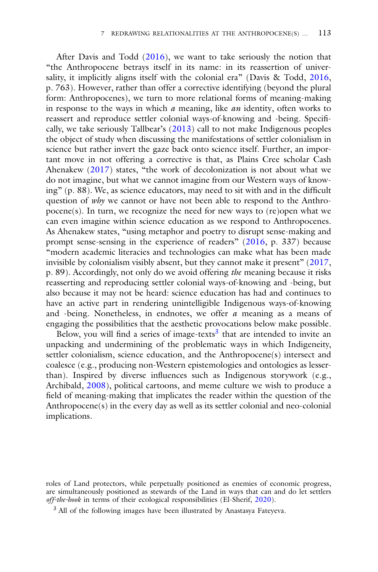After Davis and Todd [\(2016\)](#page-9-0), we want to take seriously the notion that "the Anthropocene betrays itself in its name: in its reassertion of univer-sality, it implicitly aligns itself with the colonial era" (Davis & Todd, [2016,](#page-9-0) p. 763). However, rather than offer a corrective identifying (beyond the plural form: Anthropocenes), we turn to more relational forms of meaning-making in response to the ways in which *a* meaning, like *an* identity, often works to reassert and reproduce settler colonial ways-of-knowing and -being. Specifically, we take seriously Tallbear's [\(2013\)](#page-9-3) call to not make Indigenous peoples the object of study when discussing the manifestations of settler colonialism in science but rather invert the gaze back onto science itself. Further, an important move in not offering a corrective is that, as Plains Cree scholar Cash Ahenakew [\(2017\)](#page-9-7) states, "the work of decolonization is not about what we do not imagine, but what we cannot imagine from our Western ways of knowing" (p. 88). We, as science educators, may need to sit with and in the difficult question of *why* we cannot or have not been able to respond to the Anthropocene(s). In turn, we recognize the need for new ways to (re)open what we can even imagine within science education as we respond to Anthropocenes. As Ahenakew states, "using metaphor and poetry to disrupt sense-making and prompt sense-sensing in the experience of readers" [\(2016,](#page-9-8) p. 337) because "modern academic literacies and technologies can make what has been made invisible by colonialism visibly absent, but they cannot make it present" [\(2017,](#page-9-7) p. 89). Accordingly, not only do we avoid offering *the* meaning because it risks reasserting and reproducing settler colonial ways-of-knowing and -being, but also because it may not be heard: science education has had and continues to have an active part in rendering unintelligible Indigenous ways-of-knowing and -being. Nonetheless, in endnotes, we offer *a* meaning as a means of engaging the possibilities that the aesthetic provocations below make possible.

Below, you will find a series of image-texts<sup>[3](#page-4-0)</sup> that are intended to invite an unpacking and undermining of the problematic ways in which Indigeneity, settler colonialism, science education, and the Anthropocene(s) intersect and coalesce (e.g., producing non-Western epistemologies and ontologies as lesserthan). Inspired by diverse influences such as Indigenous storywork (e.g., Archibald, [2008\)](#page-9-9), political cartoons, and meme culture we wish to produce a field of meaning-making that implicates the reader within the question of the Anthropocene(s) in the every day as well as its settler colonial and neo-colonial implications.

roles of Land protectors, while perpetually positioned as enemies of economic progress, are simultaneously positioned as stewards of the Land in ways that can and do let settlers *off-the-hook* in terms of their ecological responsibilities (El-Sherif, [2020\)](#page-9-10).

<span id="page-4-0"></span><sup>&</sup>lt;sup>3</sup> All of the following images have been illustrated by Anastasya Fateyeva.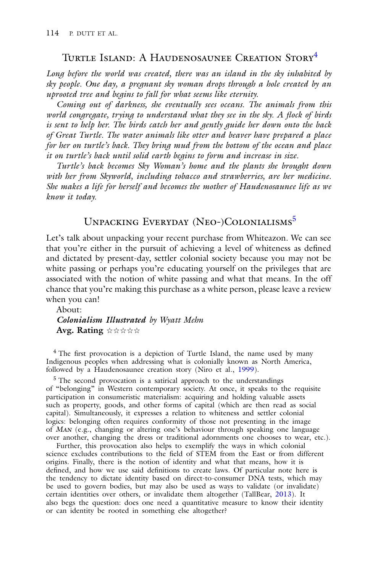# Turtle Island: A Haudenosaunee Creation Story[4](#page-5-0)

*Long before the world was created, there was an island in the sky inhabited by sky people. One day, a pregnant sky woman drops through a hole created by an uprooted tree and begins to fall for what seems like eternity.*

*Coming out of darkness, she eventually sees oceans. The animals from this world congregate, trying to understand what they see in the sky. A flock of birds is sent to help her. The birds catch her and gently guide her down onto the back of Great Turtle. The water animals like otter and beaver have prepared a place for her on turtle's back. They bring mud from the bottom of the ocean and place it on turtle's back until solid earth begins to form and increase in size.*

*Turtle's back becomes Sky Woman's home and the plants she brought down with her from Skyworld, including tobacco and strawberries, are her medicine. She makes a life for herself and becomes the mother of Haudenosaunee life as we know it today.*

## UNPACKING EVERYDAY (NEO-)COLONIALISMS<sup>[5](#page-5-1)</sup>

Let's talk about unpacking your recent purchase from Whiteazon. We can see that you're either in the pursuit of achieving a level of whiteness as defined and dictated by present-day, settler colonial society because you may not be white passing or perhaps you're educating yourself on the privileges that are associated with the notion of white passing and what that means. In the off chance that you're making this purchase as a white person, please leave a review when you can!

About: *Colonialism Illustrated by Wyatt Mehn* **Avg. Rating** *⭐⭐⭐⭐⭐*

<span id="page-5-0"></span><sup>4</sup> The first provocation is a depiction of Turtle Island, the name used by many Indigenous peoples when addressing what is colonially known as North America, followed by a Haudenosaunee creation story (Niro et al., [1999\)](#page-9-11).

<span id="page-5-1"></span><sup>5</sup> The second provocation is a satirical approach to the understandings of "belonging" in Western contemporary society. At once, it speaks to the requisite participation in consumeristic materialism: acquiring and holding valuable assets such as property, goods, and other forms of capital (which are then read as social capital). Simultaneously, it expresses a relation to whiteness and settler colonial logics: belonging often requires conformity of those not presenting in the image of Man (e.g., changing or altering one's behaviour through speaking one language over another, changing the dress or traditional adornments one chooses to wear, etc.).

Further, this provocation also helps to exemplify the ways in which colonial science excludes contributions to the field of STEM from the East or from different origins. Finally, there is the notion of identity and what that means, how it is defined, and how we use said definitions to create laws. Of particular note here is the tendency to dictate identity based on direct-to-consumer DNA tests, which may be used to govern bodies, but may also be used as ways to validate (or invalidate) certain identities over others, or invalidate them altogether (TallBear, [2013\)](#page-9-3). It also begs the question: does one need a quantitative measure to know their identity or can identity be rooted in something else altogether?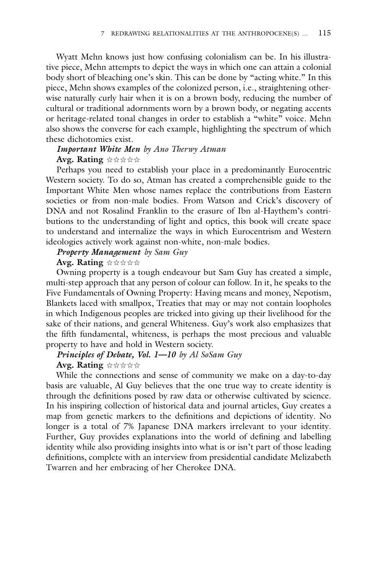Wyatt Mehn knows just how confusing colonialism can be. In his illustrative piece, Mehn attempts to depict the ways in which one can attain a colonial body short of bleaching one's skin. This can be done by "acting white." In this piece, Mehn shows examples of the colonized person, i.e., straightening otherwise naturally curly hair when it is on a brown body, reducing the number of cultural or traditional adornments worn by a brown body, or negating accents or heritage-related tonal changes in order to establish a "white" voice. Mehn also shows the converse for each example, highlighting the spectrum of which these dichotomies exist.

### *Important White Men by Ano Therwy Atman*

### **Avg. Rating** *⭐⭐⭐⭐⭐*

Perhaps you need to establish your place in a predominantly Eurocentric Western society. To do so, Atman has created a comprehensible guide to the Important White Men whose names replace the contributions from Eastern societies or from non-male bodies. From Watson and Crick's discovery of DNA and not Rosalind Franklin to the erasure of Ibn al-Haythem's contributions to the understanding of light and optics, this book will create space to understand and internalize the ways in which Eurocentrism and Western ideologies actively work against non-white, non-male bodies.

## *Property Management by Sam Guy*

#### **Avg. Rating** *⭐⭐⭐⭐⭐*

Owning property is a tough endeavour but Sam Guy has created a simple, multi-step approach that any person of colour can follow. In it, he speaks to the Five Fundamentals of Owning Property: Having means and money, Nepotism, Blankets laced with smallpox, Treaties that may or may not contain loopholes in which Indigenous peoples are tricked into giving up their livelihood for the sake of their nations, and general Whiteness. Guy's work also emphasizes that the fifth fundamental, whiteness, is perhaps the most precious and valuable property to have and hold in Western society.

#### *Principles of Debate, Vol. 1—10 by Al SoSam Guy* **Avg. Rating** *⭐⭐⭐⭐⭐*

While the connections and sense of community we make on a day-to-day basis are valuable, Al Guy believes that the one true way to create identity is through the definitions posed by raw data or otherwise cultivated by science. In his inspiring collection of historical data and journal articles, Guy creates a map from genetic markers to the definitions and depictions of identity. No longer is a total of 7% Japanese DNA markers irrelevant to your identity. Further, Guy provides explanations into the world of defining and labelling identity while also providing insights into what is or isn't part of those leading definitions, complete with an interview from presidential candidate Melizabeth Twarren and her embracing of her Cherokee DNA.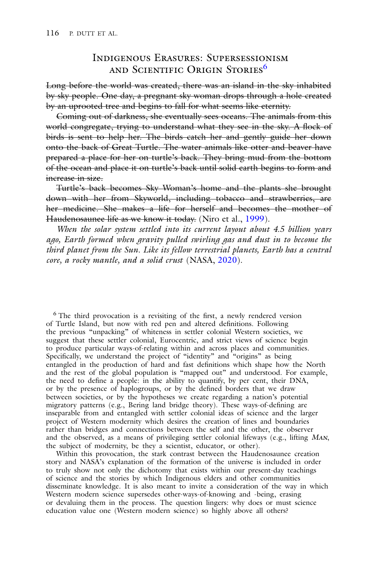## Indigenous Erasures: Supersessionism and Scientific Origin Stories<sup>[6](#page-7-0)</sup>

Long before the world was created, there was an island in the sky inhabited by sky people. One day, a pregnant sky woman drops through a hole created by an uprooted tree and begins to fall for what seems like eternity.

Coming out of darkness, she eventually sees oceans. The animals from this world congregate, trying to understand what they see in the sky. A flock of birds is sent to help her. The birds catch her and gently guide her down onto the back of Great Turtle. The water animals like otter and beaver have prepared a place for her on turtle's back. They bring mud from the bottom of the ocean and place it on turtle's back until solid earth begins to form and increase in size.

Turtle's back becomes Sky Woman's home and the plants she brought down with her from Skyworld, including tobacco and strawberries, are her medicine. She makes a life for herself and becomes the mother of Haudenosaunee life as we know it today. (Niro et al., [1999\)](#page-9-11).

*When the solar system settled into its current layout about 4.5 billion years ago, Earth formed when gravity pulled swirling gas and dust in to become the third planet from the Sun. Like its fellow terrestrial planets, Earth has a central core, a rocky mantle, and a solid crust* (NASA, [2020\)](#page-9-12).

<span id="page-7-0"></span><sup>6</sup> The third provocation is a revisiting of the first, a newly rendered version of Turtle Island, but now with red pen and altered definitions. Following the previous "unpacking" of whiteness in settler colonial Western societies, we suggest that these settler colonial, Eurocentric, and strict views of science begin to produce particular ways-of-relating within and across places and communities. Specifically, we understand the project of "identity" and "origins" as being entangled in the production of hard and fast definitions which shape how the North and the rest of the global population is "mapped out" and understood. For example, the need to define a people: in the ability to quantify, by per cent, their DNA, or by the presence of haplogroups, or by the defined borders that we draw between societies, or by the hypotheses we create regarding a nation's potential migratory patterns (e.g., Bering land bridge theory). These ways-of-defining are inseparable from and entangled with settler colonial ideas of science and the larger project of Western modernity which desires the creation of lines and boundaries rather than bridges and connections between the self and the other, the observer and the observed, as a means of privileging settler colonial lifeways (e.g., lifting Man, the subject of modernity, be they a scientist, educator, or other).

Within this provocation, the stark contrast between the Haudenosaunee creation story and NASA's explanation of the formation of the universe is included in order to truly show not only the dichotomy that exists within our present-day teachings of science and the stories by which Indigenous elders and other communities disseminate knowledge. It is also meant to invite a consideration of the way in which Western modern science supersedes other-ways-of-knowing and -being, erasing or devaluing them in the process. The question lingers: why does or must science education value one (Western modern science) so highly above all others?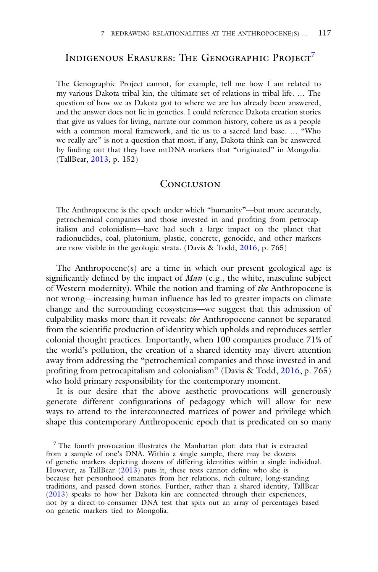# INDIGENOUS ERASURES: THE GENOGRAPHIC PROJECT<sup>[7](#page-8-0)</sup>

The Genographic Project cannot, for example, tell me how I am related to my various Dakota tribal kin, the ultimate set of relations in tribal life. … The question of how we as Dakota got to where we are has already been answered, and the answer does not lie in genetics. I could reference Dakota creation stories that give us values for living, narrate our common history, cohere us as a people with a common moral framework, and tie us to a sacred land base. … "Who we really are" is not a question that most, if any, Dakota think can be answered by finding out that they have mtDNA markers that "originated" in Mongolia. (TallBear, [2013,](#page-9-3) p. 152)

## **CONCLUSION**

The Anthropocene is the epoch under which "humanity"—but more accurately, petrochemical companies and those invested in and profiting from petrocapitalism and colonialism—have had such a large impact on the planet that radionuclides, coal, plutonium, plastic, concrete, genocide, and other markers are now visible in the geologic strata. (Davis & Todd, [2016,](#page-9-0) p. 765)

The Anthropocene(s) are a time in which our present geological age is significantly defined by the impact of *Man* (e.g., the white, masculine subject of Western modernity). While the notion and framing of *the* Anthropocene is not wrong—increasing human influence has led to greater impacts on climate change and the surrounding ecosystems—we suggest that this admission of culpability masks more than it reveals: *the* Anthropocene cannot be separated from the scientific production of identity which upholds and reproduces settler colonial thought practices. Importantly, when 100 companies produce 71% of the world's pollution, the creation of a shared identity may divert attention away from addressing the "petrochemical companies and those invested in and profiting from petrocapitalism and colonialism" (Davis & Todd, [2016,](#page-9-0) p. 765) who hold primary responsibility for the contemporary moment.

It is our desire that the above aesthetic provocations will generously generate different configurations of pedagogy which will allow for new ways to attend to the interconnected matrices of power and privilege which shape this contemporary Anthropocenic epoch that is predicated on so many

<span id="page-8-0"></span> $<sup>7</sup>$  The fourth provocation illustrates the Manhattan plot: data that is extracted</sup> from a sample of one's DNA. Within a single sample, there may be dozens of genetic markers depicting dozens of differing identities within a single individual. However, as TallBear  $(2013)$  puts it, these tests cannot define who she is because her personhood emanates from her relations, rich culture, long-standing traditions, and passed down stories. Further, rather than a shared identity, TallBear [\(2013\)](#page-9-3) speaks to how her Dakota kin are connected through their experiences, not by a direct-to-consumer DNA test that spits out an array of percentages based on genetic markers tied to Mongolia.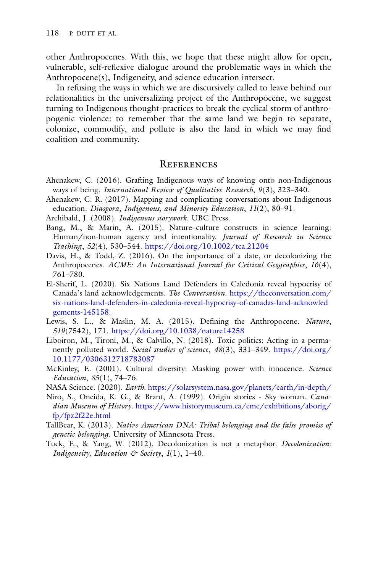other Anthropocenes. With this, we hope that these might allow for open, vulnerable, self-reflexive dialogue around the problematic ways in which the Anthropocene(s), Indigeneity, and science education intersect.

In refusing the ways in which we are discursively called to leave behind our relationalities in the universalizing project of the Anthropocene, we suggest turning to Indigenous thought-practices to break the cyclical storm of anthropogenic violence: to remember that the same land we begin to separate, colonize, commodify, and pollute is also the land in which we may find coalition and community.

## **REFERENCES**

- <span id="page-9-8"></span>Ahenakew, C. (2016). Grafting Indigenous ways of knowing onto non-Indigenous ways of being. *International Review of Qualitative Research*, *9*(3), 323–340.
- <span id="page-9-7"></span>Ahenakew, C. R. (2017). Mapping and complicating conversations about Indigenous education. *Diaspora, Indigenous, and Minority Education*, *11*(2), 80–91.
- <span id="page-9-9"></span>Archibald, J. (2008). *Indigenous storywork.* UBC Press.
- <span id="page-9-1"></span>Bang, M., & Marin, A. (2015). Nature–culture constructs in science learning: Human/non-human agency and intentionality. *Journal of Research in Science Teaching*, *52*(4), 530–544. <https://doi.org/10.1002/tea.21204>
- <span id="page-9-0"></span>Davis, H., & Todd, Z. (2016). On the importance of a date, or decolonizing the Anthropocenes*. ACME: An International Journal for Critical Geographies*, *16*(4), 761–780.
- <span id="page-9-10"></span>El-Sherif, L. (2020). Six Nations Land Defenders in Caledonia reveal hypocrisy of Canada's land acknowledgements. *The Conversation*. https://theconversation.com/ [six-nations-land-defenders-in-caledonia-reveal-hypocrisy-of-canadas-land-acknowled](https://theconversation.com/six-nations-land-defenders-in-caledonia-reveal-hypocrisy-of-canadas-land-acknowledgements-145158) gements-145158.
- <span id="page-9-6"></span>Lewis, S. L., & Maslin, M. A. (2015). Defining the Anthropocene. *Nature*, *519*(7542), 171. <https://doi.org/10.1038/nature14258>
- <span id="page-9-2"></span>Liboiron, M., Tironi, M., & Calvillo, N. (2018). Toxic politics: Acting in a permanently polluted world. *Social studies of science*, *48*(3), 331–349. https://doi.org/ [10.1177/0306312718783087](https://doi.org/10.1177/0306312718783087)
- <span id="page-9-5"></span>McKinley, E. (2001). Cultural diversity: Masking power with innocence. *Science Education*, *85*(1), 74–76.
- <span id="page-9-12"></span>NASA Science. (2020). *Earth.* <https://solarsystem.nasa.gov/planets/earth/in-depth/>
- <span id="page-9-11"></span>Niro, S., Oneida, K. G., & Brant, A. (1999). Origin stories - Sky woman. *Canadian Museum of History*. [https://www.historymuseum.ca/cmc/exhibitions/aborig/](https://www.historymuseum.ca/cmc/exhibitions/aborig/fp/fpz2f22e.html) fp/fpz2f22e.html
- <span id="page-9-3"></span>TallBear, K. (2013). *Native American DNA: Tribal belonging and the false promise of genetic belonging.* University of Minnesota Press.
- <span id="page-9-4"></span>Tuck, E., & Yang, W. (2012). Decolonization is not a metaphor. *Decolonization: Indigeneity, Education & Society*, *1*(1), 1–40.